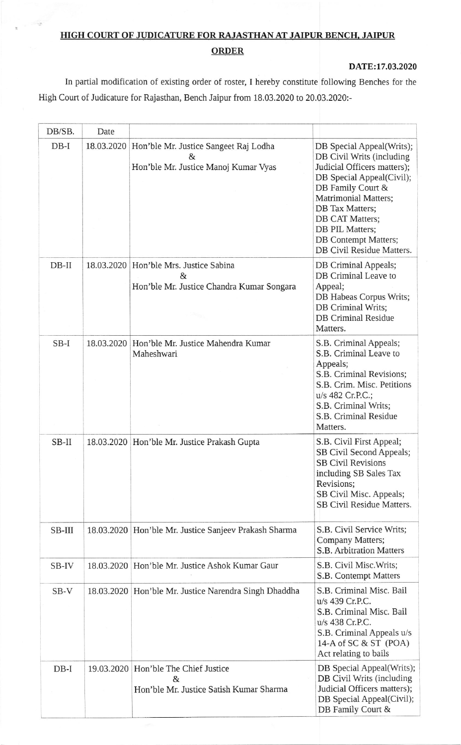## HIGH COURT OF JUDICATURE FOR RAJASTHAN AT JAIPUR BENCH, JAIPUR **ORDER**

DATE:17.03.2020

In partial modification of existing order of roster, I hereby constitute following Benches for the High Court of Judicature for Rajasthan, Bench Jaipur from 18.03.2020 to 20.03.2020:-

| DB/SB.  | Date       |                                                                                            |                                                                                                                                                                                                                                                                                      |
|---------|------------|--------------------------------------------------------------------------------------------|--------------------------------------------------------------------------------------------------------------------------------------------------------------------------------------------------------------------------------------------------------------------------------------|
| $DB-I$  | 18.03.2020 | Hon'ble Mr. Justice Sangeet Raj Lodha<br>&<br>Hon'ble Mr. Justice Manoj Kumar Vyas         | DB Special Appeal(Writs);<br>DB Civil Writs (including<br>Judicial Officers matters);<br>DB Special Appeal(Civil);<br>DB Family Court &<br><b>Matrimonial Matters;</b><br>DB Tax Matters;<br>DB CAT Matters;<br>DB PIL Matters;<br>DB Contempt Matters;<br>DB Civil Residue Matters. |
| $DB-II$ |            | 18.03.2020   Hon'ble Mrs. Justice Sabina<br>&<br>Hon'ble Mr. Justice Chandra Kumar Songara | DB Criminal Appeals;<br>DB Criminal Leave to<br>Appeal;<br>DB Habeas Corpus Writs;<br>DB Criminal Writs;<br><b>DB Criminal Residue</b><br>Matters.                                                                                                                                   |
| $SB-I$  | 18.03.2020 | Hon'ble Mr. Justice Mahendra Kumar<br>Maheshwari                                           | S.B. Criminal Appeals;<br>S.B. Criminal Leave to<br>Appeals;<br>S.B. Criminal Revisions;<br>S.B. Crim. Misc. Petitions<br>u/s 482 Cr.P.C.;<br>S.B. Criminal Writs;<br>S.B. Criminal Residue<br>Matters.                                                                              |
| SB-II   | 18.03.2020 | Hon'ble Mr. Justice Prakash Gupta                                                          | S.B. Civil First Appeal;<br>SB Civil Second Appeals;<br><b>SB Civil Revisions</b><br>including SB Sales Tax<br>Revisions;<br>SB Civil Misc. Appeals;<br><b>SB Civil Residue Matters.</b>                                                                                             |
| SB-III  |            | 18.03.2020   Hon'ble Mr. Justice Sanjeev Prakash Sharma                                    | S.B. Civil Service Writs;<br>Company Matters;<br><b>S.B. Arbitration Matters</b>                                                                                                                                                                                                     |
| SB-IV   | 18.03.2020 | Hon'ble Mr. Justice Ashok Kumar Gaur                                                       | S.B. Civil Misc. Writs;<br>S.B. Contempt Matters                                                                                                                                                                                                                                     |
| $SB-V$  |            | 18.03.2020 Hon'ble Mr. Justice Narendra Singh Dhaddha                                      | S.B. Criminal Misc. Bail<br>u/s 439 Cr.P.C.<br>S.B. Criminal Misc. Bail<br>u/s 438 Cr.P.C.<br>S.B. Criminal Appeals u/s<br>14-A of SC & ST (POA)<br>Act relating to bails                                                                                                            |
| $DB-I$  | 19.03.2020 | Hon'ble The Chief Justice<br>&<br>Hon'ble Mr. Justice Satish Kumar Sharma                  | DB Special Appeal(Writs);<br>DB Civil Writs (including<br>Judicial Officers matters);<br>DB Special Appeal(Civil);<br>DB Family Court &                                                                                                                                              |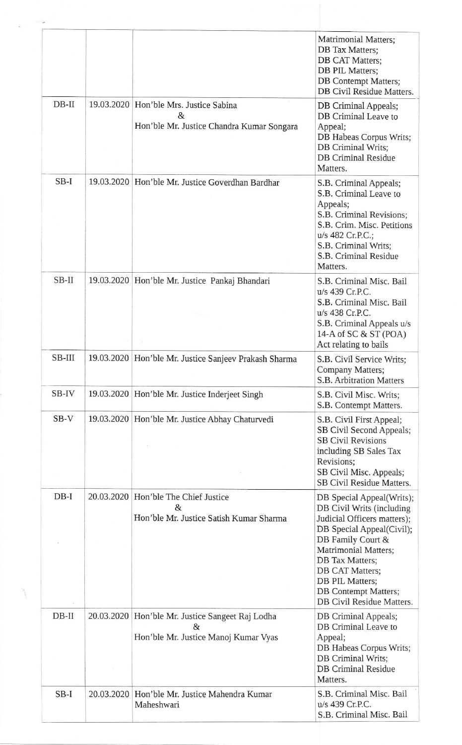|         |            |                                                                                           | <b>Matrimonial Matters;</b><br>DB Tax Matters;<br><b>DB CAT Matters:</b><br>DB PIL Matters;<br>DB Contempt Matters;<br>DB Civil Residue Matters.                                                                                                                                     |
|---------|------------|-------------------------------------------------------------------------------------------|--------------------------------------------------------------------------------------------------------------------------------------------------------------------------------------------------------------------------------------------------------------------------------------|
| $DB-II$ | 19.03.2020 | Hon'ble Mrs. Justice Sabina<br>&<br>Hon'ble Mr. Justice Chandra Kumar Songara             | DB Criminal Appeals;<br>DB Criminal Leave to<br>Appeal;<br>DB Habeas Corpus Writs;<br>DB Criminal Writs;<br><b>DB Criminal Residue</b><br>Matters.                                                                                                                                   |
| $SB-I$  |            | 19.03.2020   Hon'ble Mr. Justice Goverdhan Bardhar                                        | S.B. Criminal Appeals;<br>S.B. Criminal Leave to<br>Appeals;<br>S.B. Criminal Revisions;<br>S.B. Crim. Misc. Petitions<br>u/s 482 Cr.P.C.;<br>S.B. Criminal Writs;<br>S.B. Criminal Residue<br>Matters.                                                                              |
| SB-II   |            | 19.03.2020   Hon'ble Mr. Justice Pankaj Bhandari                                          | S.B. Criminal Misc. Bail<br>u/s 439 Cr.P.C.<br>S.B. Criminal Misc. Bail<br>u/s 438 Cr.P.C.<br>S.B. Criminal Appeals u/s<br>14-A of SC & ST (POA)<br>Act relating to bails                                                                                                            |
| SB-III  |            | 19.03.2020 Hon'ble Mr. Justice Sanjeev Prakash Sharma                                     | S.B. Civil Service Writs;<br>Company Matters;<br>S.B. Arbitration Matters                                                                                                                                                                                                            |
| SB-IV   |            | 19.03.2020   Hon'ble Mr. Justice Inderjeet Singh                                          | S.B. Civil Misc. Writs;<br>S.B. Contempt Matters.                                                                                                                                                                                                                                    |
| $SB-V$  |            | 19.03.2020 Hon'ble Mr. Justice Abhay Chaturvedi                                           | S.B. Civil First Appeal;<br>SB Civil Second Appeals;<br><b>SB Civil Revisions</b><br>including SB Sales Tax<br>Revisions;<br>SB Civil Misc. Appeals;<br>SB Civil Residue Matters.                                                                                                    |
| $DB-I$  |            | 20.03.2020   Hon'ble The Chief Justice<br>$\&$<br>Hon'ble Mr. Justice Satish Kumar Sharma | DB Special Appeal(Writs);<br>DB Civil Writs (including<br>Judicial Officers matters);<br>DB Special Appeal(Civil);<br>DB Family Court &<br>Matrimonial Matters;<br>DB Tax Matters;<br>DB CAT Matters;<br>DB PIL Matters;<br><b>DB</b> Contempt Matters;<br>DB Civil Residue Matters. |
| $DB-II$ | 20.03.2020 | Hon'ble Mr. Justice Sangeet Raj Lodha<br>&<br>Hon'ble Mr. Justice Manoj Kumar Vyas        | DB Criminal Appeals;<br>DB Criminal Leave to<br>Appeal;<br>DB Habeas Corpus Writs;<br><b>DB</b> Criminal Writs;<br><b>DB Criminal Residue</b><br>Matters.                                                                                                                            |
| $SB-I$  |            | 20.03.2020   Hon'ble Mr. Justice Mahendra Kumar<br>Maheshwari                             | S.B. Criminal Misc. Bail<br>u/s 439 Cr.P.C.<br>S.B. Criminal Misc. Bail                                                                                                                                                                                                              |